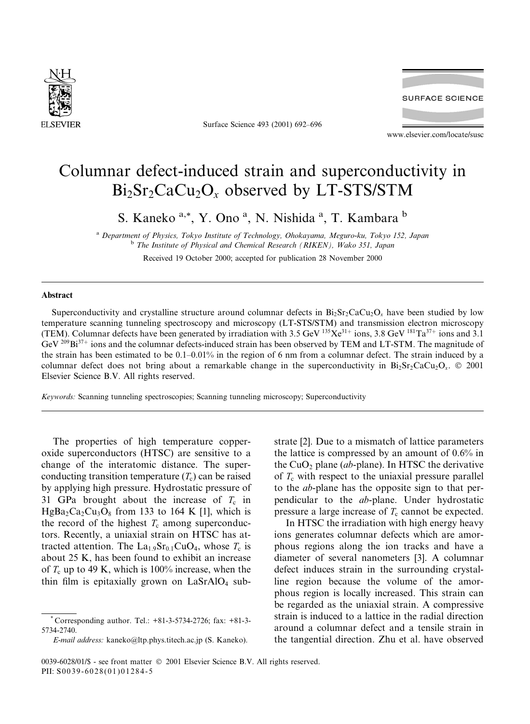

Surface Science 493 (2001) 692-696



www.elsevier.com/locate/susc

## Columnar defect-induced strain and superconductivity in  $Bi<sub>2</sub>Sr<sub>2</sub>CaCu<sub>2</sub>O<sub>x</sub>$  observed by LT-STS/STM

S. Kaneko<sup>a,\*</sup>, Y. Ono<sup>a</sup>, N. Nishida<sup>a</sup>, T. Kambara<sup>b</sup>

<sup>a</sup> Department of Physics, Tokyo Institute of Technology, Ohokayama, Meguro-ku, Tokyo 152, Japan <sup>b</sup> The Institute of Physical and Chemical Research (RIKEN), Wako 351, Japan

Received 19 October 2000; accepted for publication 28 November 2000

## Abstract

Superconductivity and crystalline structure around columnar defects in  $Bi_2Sr_2CaCu_2O_x$  have been studied by low temperature scanning tunneling spectroscopy and microscopy (LT-STS/STM) and transmission electron microscopy (TEM). Columnar defects have been generated by irradiation with 3.5 GeV 135Xe<sup>31+</sup> ions, 3.8 GeV <sup>181</sup>Ta<sup>37+</sup> ions and 3.1 GeV  $^{209}Bi^{37+}$  ions and the columnar defects-induced strain has been observed by TEM and LT-STM. The magnitude of the strain has been estimated to be  $0.1-0.01\%$  in the region of 6 nm from a columnar defect. The strain induced by a columnar defect does not bring about a remarkable change in the superconductivity in  $Bi_2Sr_2CaCu_2O_x$ . © 2001 Elsevier Science B.V. All rights reserved.

Keywords: Scanning tunneling spectroscopies; Scanning tunneling microscopy; Superconductivity

The properties of high temperature copperoxide superconductors (HTSC) are sensitive to a change of the interatomic distance. The superconducting transition temperature  $(T_c)$  can be raised by applying high pressure. Hydrostatic pressure of 31 GPa brought about the increase of  $T_c$  in  $HgBa<sub>2</sub>Ca<sub>2</sub>Cu<sub>3</sub>O<sub>8</sub>$  from 133 to 164 K [1], which is the record of the highest  $T_c$  among superconductors. Recently, a uniaxial strain on HTSC has attracted attention. The La<sub>1.9</sub>Sr<sub>0.1</sub>CuO<sub>4</sub>, whose  $T_c$  is about 25 K, has been found to exhibit an increase of  $T_c$  up to 49 K, which is 100% increase, when the thin film is epitaxially grown on  $LaSrAlO<sub>4</sub>$  sub-

E-mail address: kaneko@ltp.phys.titech.ac.jp (S. Kaneko).

strate [2]. Due to a mismatch of lattice parameters the lattice is compressed by an amount of  $0.6\%$  in the  $CuO<sub>2</sub>$  plane (ab-plane). In HTSC the derivative of  $T_c$  with respect to the uniaxial pressure parallel to the *ab*-plane has the opposite sign to that perpendicular to the ab-plane. Under hydrostatic pressure a large increase of  $T_c$  cannot be expected.

In HTSC the irradiation with high energy heavy ions generates columnar defects which are amorphous regions along the ion tracks and have a diameter of several nanometers [3]. A columnar defect induces strain in the surrounding crystalline region because the volume of the amorphous region is locally increased. This strain can be regarded as the uniaxial strain. A compressive strain is induced to a lattice in the radial direction around a columnar defect and a tensile strain in the tangential direction. Zhu et al. have observed

Corresponding author. Tel.: +81-3-5734-2726; fax: +81-3-5734-2740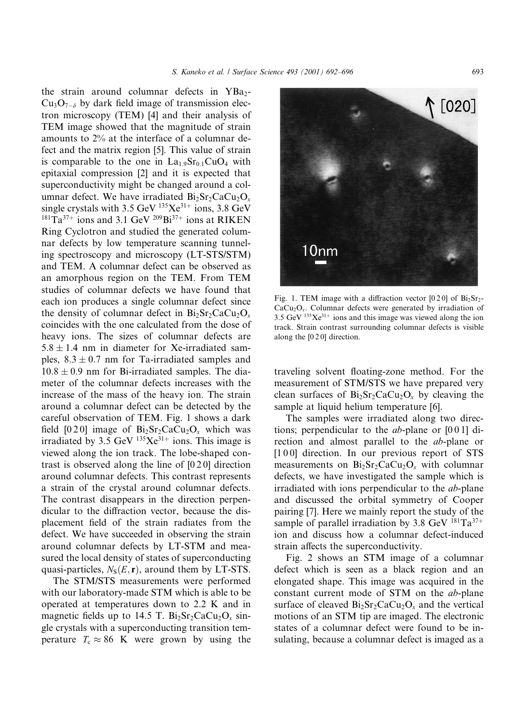S. Kaneko et al. / Surface Science 493 (2001) 692-696

the strain around columnar defects in YBa2- $Cu<sub>3</sub>O<sub>7-\delta</sub>$  by dark field image of transmission electron microscopy (TEM) [4] and their analysis of TEM image showed that the magnitude of strain amounts to 2% at the interface of a columnar defect and the matrix region [5]. This value of strain is comparable to the one in  $La<sub>1.9</sub>Sr<sub>0.1</sub>CuO<sub>4</sub>$  with epitaxial compression [2] and it is expected that superconductivity might be changed around a columnar defect. We have irradiated  $Bi<sub>2</sub>Sr<sub>2</sub>CaCu<sub>2</sub>O<sub>x</sub>$ single crystals with 3.5 GeV  $^{135}Xe^{31+}$  ions, 3.8 GeV  $^{181}Ta^{37+}$  ions and 3.1 GeV  $^{209}Bi^{37+}$  ions at RIKEN Ring Cyclotron and studied the generated columnar defects by low temperature scanning tunneling spectroscopy and microscopy (LT-STS/STM) and TEM. A columnar defect can be observed as an amorphous region on the TEM. From TEM studies of columnar defects we have found that each ion produces a single columnar defect since the density of columnar defect in  $Bi_2Sr_2CaCu_2O_r$ coincides with the one calculated from the dose of heavy ions. The sizes of columnar defects are  $5.8 \pm 1.4$  nm in diameter for Xe-irradiated samples,  $8.3 \pm 0.7$  nm for Ta-irradiated samples and  $10.8 \pm 0.9$  nm for Bi-irradiated samples. The diameter of the columnar defects increases with the increase of the mass of the heavy ion. The strain around a columnar defect can be detected by the careful observation of TEM. Fig. 1 shows a dark field [0.2.0] image of  $Bi_2Sr_2CaCu_2O_x$  which was irradiated by 3.5 GeV  $^{135}Xe^{31+}$  ions. This image is viewed along the ion track. The lobe-shaped contrast is observed along the line of  $[020]$  direction around columnar defects. This contrast represents a strain of the crystal around columnar defects. The contrast disappears in the direction perpendicular to the diffraction vector, because the displacement field of the strain radiates from the defect. We have succeeded in observing the strain around columnar defects by LT-STM and measured the local density of states of superconducting quasi-particles,  $N_S(E, r)$ , around them by LT-STS.

The STM/STS measurements were performed with our laboratory-made STM which is able to be operated at temperatures down to 2.2 K and in magnetic fields up to 14.5 T.  $Bi<sub>2</sub>Sr<sub>2</sub>CaCu<sub>2</sub>O<sub>x</sub> sin$ gle crystals with a superconducting transition temperature  $T_c \approx 86$  K were grown by using the



Fig. 1. TEM image with a diffraction vector  $[0 2 0]$  of  $Bi<sub>2</sub>Sr<sub>2</sub>$ - $CaCu<sub>2</sub>O<sub>x</sub>$ . Columnar defects were generated by irradiation of 3.5 GeV  $^{135}Xe^{31+}$  ions and this image was viewed along the ion track. Strain contrast surrounding columnar defects is visible along the  $[0 2 0]$  direction.

traveling solvent floating-zone method. For the measurement of STM/STS we have prepared very clean surfaces of  $Bi_2Sr_2CaCu_2O_r$  by cleaving the sample at liquid helium temperature [6].

The samples were irradiated along two directions; perpendicular to the *ab*-plane or  $[0\ 0\ 1]$  direction and almost parallel to the *ab*-plane or  $[100]$  direction. In our previous report of STS measurements on  $Bi_2Sr_2CaCu_2O_x$  with columnar defects, we have investigated the sample which is irradiated with ions perpendicular to the *ab*-plane and discussed the orbital symmetry of Cooper pairing [7]. Here we mainly report the study of the sample of parallel irradiation by 3.8 GeV  $^{181}Ta^{37+}$ ion and discuss how a columnar defect-induced strain affects the superconductivity.

Fig. 2 shows an STM image of a columnar defect which is seen as a black region and an elongated shape. This image was acquired in the constant current mode of STM on the *ab*-plane surface of cleaved  $Bi_2Sr_2CaCu_2O_x$  and the vertical motions of an STM tip are imaged. The electronic states of a columnar defect were found to be insulating, because a columnar defect is imaged as a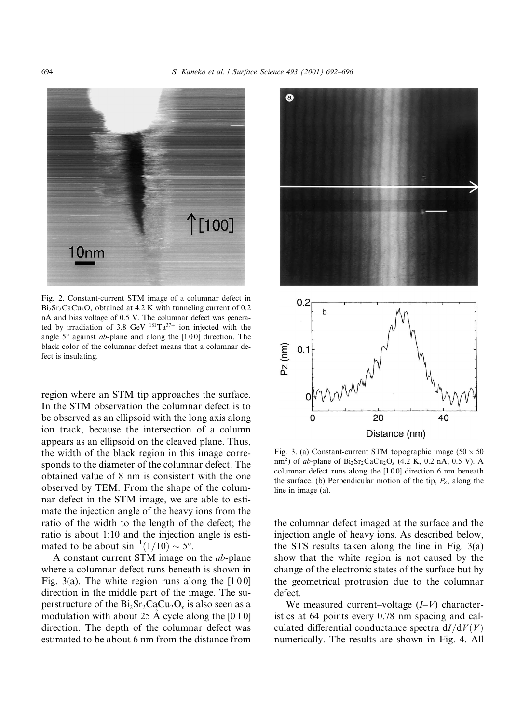

Fig. 2. Constant-current STM image of a columnar defect in  $Bi<sub>2</sub>Sr<sub>2</sub>CaCu<sub>2</sub>O<sub>x</sub> obtained at 4.2 K with tunneling current of 0.2$ nA and bias voltage of 0.5 V. The columnar defect was generated by irradiation of 3.8 GeV  $^{181}Ta^{37+}$  ion injected with the angle  $5^\circ$  against ab-plane and along the [100] direction. The black color of the columnar defect means that a columnar defect is insulating.

region where an STM tip approaches the surface. In the STM observation the columnar defect is to be observed as an ellipsoid with the long axis along ion track, because the intersection of a column appears as an ellipsoid on the cleaved plane. Thus, the width of the black region in this image corresponds to the diameter of the columnar defect. The obtained value of 8 nm is consistent with the one observed by TEM. From the shape of the columnar defect in the STM image, we are able to estimate the injection angle of the heavy ions from the ratio of the width to the length of the defect; the ratio is about 1:10 and the injection angle is estimated to be about  $\sin^{-1}(1/10) \sim 5^{\circ}$ .

A constant current STM image on the *ab*-plane where a columnar defect runs beneath is shown in Fig. 3(a). The white region runs along the  $[100]$ direction in the middle part of the image. The superstructure of the  $Bi<sub>2</sub>Sr<sub>2</sub>CaCu<sub>2</sub>O<sub>x</sub>$  is also seen as a modulation with about 25 A cycle along the  $[0 1 0]$ direction. The depth of the columnar defect was estimated to be about 6 nm from the distance from



Fig. 3. (a) Constant-current STM topographic image  $(50 \times 50)$ nm<sup>2</sup>) of ab-plane of  $Bi_2Sr_2CaCu_2O_x$  (4.2 K, 0.2 nA, 0.5 V). A columnar defect runs along the  $[100]$  direction 6 nm beneath the surface. (b) Perpendicular motion of the tip,  $P_z$ , along the line in image (a).

the columnar defect imaged at the surface and the injection angle of heavy ions. As described below, the STS results taken along the line in Fig.  $3(a)$ show that the white region is not caused by the change of the electronic states of the surface but by the geometrical protrusion due to the columnar defect.

We measured current-voltage  $(I-V)$  characteristics at 64 points every 0.78 nm spacing and calculated differential conductance spectra  $dI/dV(V)$ numerically. The results are shown in Fig. 4. All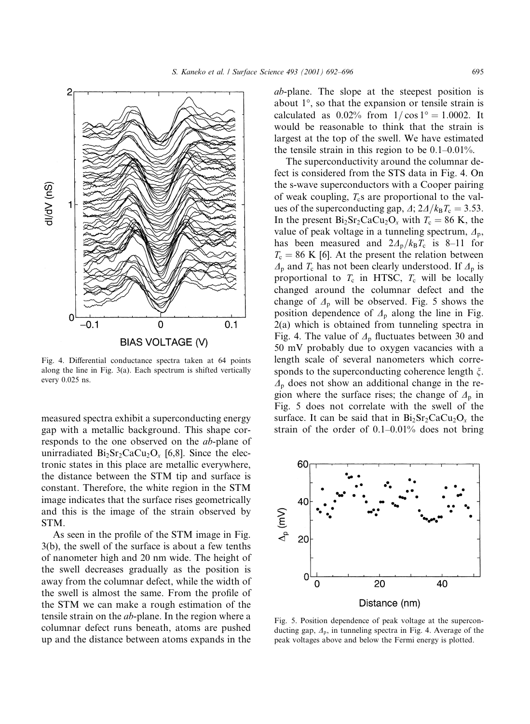

Fig. 4. Differential conductance spectra taken at 64 points along the line in Fig.  $3(a)$ . Each spectrum is shifted vertically every 0.025 ns.

measured spectra exhibit a superconducting energy gap with a metallic background. This shape corresponds to the one observed on the *ab*-plane of unirradiated  $Bi_2Sr_2CaCu_2O_x$  [6,8]. Since the electronic states in this place are metallic everywhere, the distance between the STM tip and surface is constant. Therefore, the white region in the STM image indicates that the surface rises geometrically and this is the image of the strain observed by STM.

As seen in the profile of the STM image in Fig.  $3(b)$ , the swell of the surface is about a few tenths of nanometer high and 20 nm wide. The height of the swell decreases gradually as the position is away from the columnar defect, while the width of the swell is almost the same. From the profile of the STM we can make a rough estimation of the tensile strain on the *ab*-plane. In the region where a columnar defect runs beneath, atoms are pushed up and the distance between atoms expands in the

*ab*-plane. The slope at the steepest position is about  $1^{\circ}$ , so that the expansion or tensile strain is calculated as  $0.02\%$  from  $1/\cos 1^\circ = 1.0002$ . It would be reasonable to think that the strain is largest at the top of the swell. We have estimated the tensile strain in this region to be  $0.1-0.01\%$ .

The superconductivity around the columnar defect is considered from the STS data in Fig. 4. On the s-wave superconductors with a Cooper pairing of weak coupling,  $T_c$ s are proportional to the values of the superconducting gap,  $\Delta$ ;  $2\Delta/k_BT_c = 3.53$ . In the present  $Bi_2Sr_2CaCu_2O_x$  with  $T_c = 86$  K, the value of peak voltage in a tunneling spectrum,  $\Delta_p$ , has been measured and  $2\Delta_p/k_B T_c$  is 8–11 for  $T_c = 86$  K [6]. At the present the relation between  $\Lambda_{\rm p}$  and  $T_{\rm c}$  has not been clearly understood. If  $\Lambda_{\rm p}$  is proportional to  $T_c$  in HTSC,  $T_c$  will be locally changed around the columnar defect and the change of  $\Delta_p$  will be observed. Fig. 5 shows the position dependence of  $\Lambda_p$  along the line in Fig.  $2(a)$  which is obtained from tunneling spectra in Fig. 4. The value of  $\Delta$ <sub>p</sub> fluctuates between 30 and 50 mV probably due to oxygen vacancies with a length scale of several nanometers which corresponds to the superconducting coherence length  $\xi$ .  $\Lambda_{\rm p}$  does not show an additional change in the region where the surface rises; the change of  $\Delta_p$  in Fig. 5 does not correlate with the swell of the surface. It can be said that in  $Bi_2Sr_2CaCu_2O_x$  the strain of the order of  $0.1-0.01\%$  does not bring



Fig. 5. Position dependence of peak voltage at the superconducting gap,  $\Delta_{p}$ , in tunneling spectra in Fig. 4. Average of the peak voltages above and below the Fermi energy is plotted.